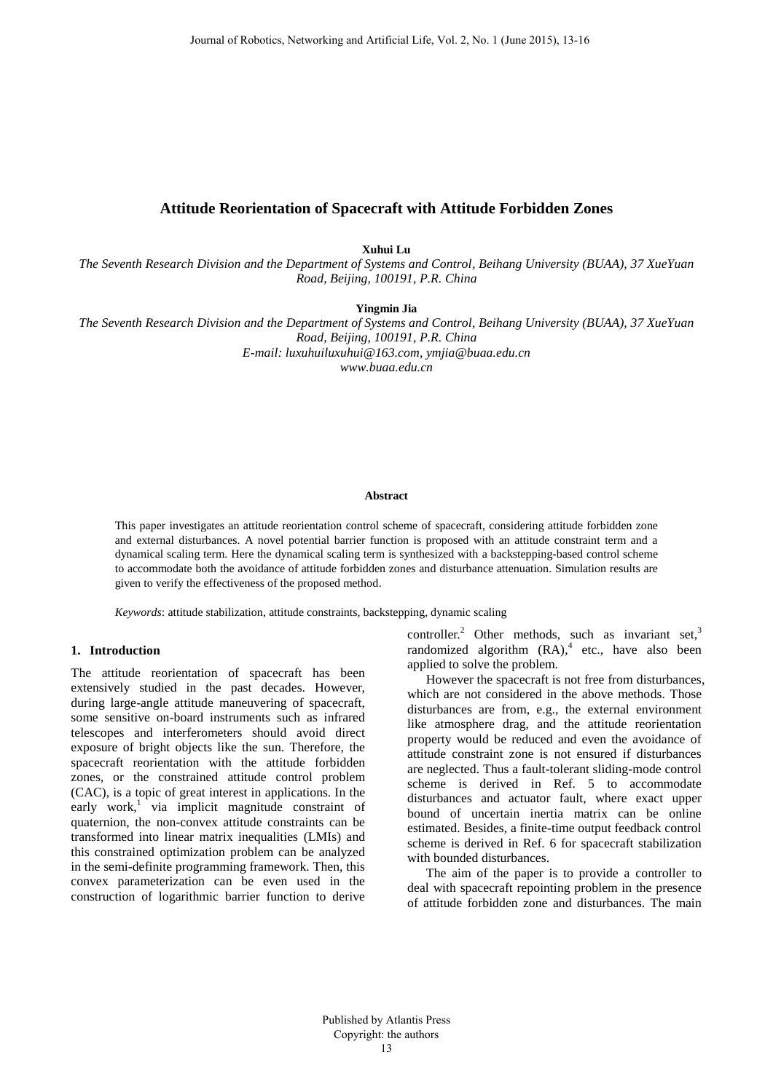# **Attitude Reorientation of Spacecraft with Attitude Forbidden Zones**

**Xuhui Lu**

*The Seventh Research Division and the Department of Systems and Control, Beihang University (BUAA), 37 XueYuan Road, Beijing, 100191, P.R. China* 

**Yingmin Jia** 

*The Seventh Research Division and the Department of Systems and Control, Beihang University (BUAA), 37 XueYuan Road, Beijing, 100191, P.R. China E-mail: [luxuhuiluxuhui@163.com,](mailto:luxuhuiluxuhui@163.com) ymjia@buaa.edu.cn* 

*www.buaa.edu.cn* 

#### **Abstract**

This paper investigates an attitude reorientation control scheme of spacecraft, considering attitude forbidden zone and external disturbances. A novel potential barrier function is proposed with an attitude constraint term and a dynamical scaling term. Here the dynamical scaling term is synthesized with a backstepping-based control scheme to accommodate both the avoidance of attitude forbidden zones and disturbance attenuation. Simulation results are given to verify the effectiveness of the proposed method.

*Keywords*: attitude stabilization, attitude constraints, backstepping, dynamic scaling

## **1. Introduction**

The attitude reorientation of spacecraft has been extensively studied in the past decades. However, during large-angle attitude maneuvering of spacecraft, some sensitive on-board instruments such as infrared telescopes and interferometers should avoid direct exposure of bright objects like the sun. Therefore, the spacecraft reorientation with the attitude forbidden zones, or the constrained attitude control problem (CAC), is a topic of great interest in applications. In the early work,<sup>1</sup> via implicit magnitude constraint of quaternion, the non-convex attitude constraints can be transformed into linear matrix inequalities (LMIs) and this constrained optimization problem can be analyzed in the semi-definite programming framework. Then, this convex parameterization can be even used in the construction of logarithmic barrier function to derive

controller.<sup>2</sup> Other methods, such as invariant set,<sup>3</sup> randomized algorithm  $(RA)$ ,<sup>4</sup> etc., have also been applied to solve the problem.

However the spacecraft is not free from disturbances, which are not considered in the above methods. Those disturbances are from, e.g., the external environment like atmosphere drag, and the attitude reorientation property would be reduced and even the avoidance of attitude constraint zone is not ensured if disturbances are neglected. Thus a fault-tolerant sliding-mode control scheme is derived in Ref. 5 to accommodate disturbances and actuator fault, where exact upper bound of uncertain inertia matrix can be online estimated. Besides, a finite-time output feedback control scheme is derived in Ref. 6 for spacecraft stabilization with bounded disturbances.

The aim of the paper is to provide a controller to deal with spacecraft repointing problem in the presence of attitude forbidden zone and disturbances. The main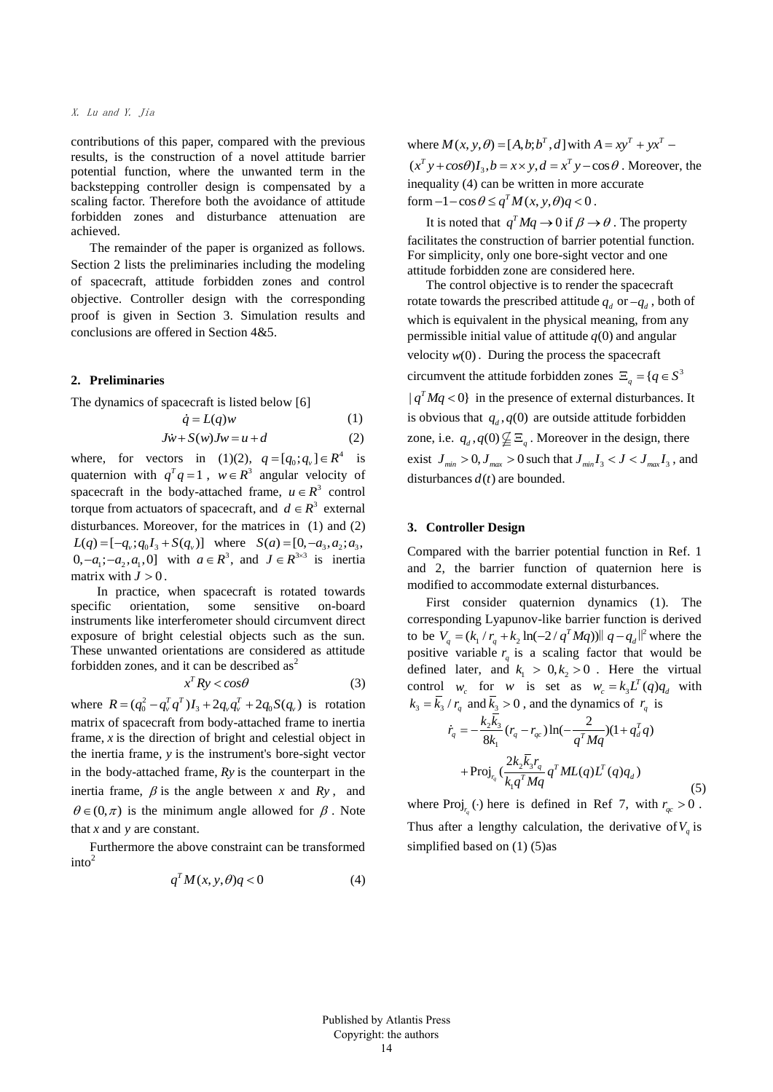contributions of this paper, compared with the previous results, is the construction of a novel attitude barrier potential function, where the unwanted term in the backstepping controller design is compensated by a scaling factor. Therefore both the avoidance of attitude forbidden zones and disturbance attenuation are achieved.

The remainder of the paper is organized as follows. Section 2 lists the preliminaries including the modeling of spacecraft, attitude forbidden zones and control objective. Controller design with the corresponding proof is given in Section 3. Simulation results and conclusions are offered in Section 4&5.

## **2. Preliminaries**

The dynamics of spacecraft is listed below [6]

$$
\dot{q} = L(q)w\tag{1}
$$

$$
J\dot{w} + S(w)Jw = u + d \tag{2}
$$

where, for vectors in (1)(2),  $q = [q_0; q_v] \in R^4$  is quaternion with  $q^Tq = 1$ ,  $w \in R^3$  angular velocity of spacecraft in the body-attached frame,  $u \in R^3$  control torque from actuators of spacecraft, and  $d \in R^3$  external disturbances. Moreover, for the matrices in (1) and (2)  $L(q) = [-q_x; q_0 I_3 + S(q_x)]$  where  $S(a) = [0, -a_x, a_z; a_x]$  $0, -a_1, -a_2, a_1, 0$  with  $a \in R^3$ , and  $J \in R^{3 \times 3}$  is inertia matrix with  $J > 0$ .

In practice, when spacecraft is rotated towards specific orientation, some sensitive on-board instruments like interferometer should circumvent direct exposure of bright celestial objects such as the sun. These unwanted orientations are considered as attitude forbidden zones, and it can be described  $as<sup>2</sup>$ 

$$
x^T R y < cos \theta \tag{3}
$$

where  $R = (q_0^2 - q_v^T q^T)I_3 + 2q_v q_v^T + 2q_0 S(q_v)$  is rotation matrix of spacecraft from body-attached frame to inertia frame, *x* is the direction of bright and celestial object in the inertia frame, *y* is the instrument's bore-sight vector in the body-attached frame, *Ry* is the counterpart in the inertia frame,  $\beta$  is the angle between x and  $R_y$ , and  $\theta \in (0, \pi)$  is the minimum angle allowed for  $\beta$ . Note that *x* and *y* are constant.

Furthermore the above constraint can be transformed  $into<sup>2</sup>$ 

$$
q^T M(x, y, \theta) q < 0 \tag{4}
$$

where  $M(x, y, \theta) = [A, b; b^T, d]$  with  $A = xy^T + yx^T$ where  $M(x, y, \theta) = [A, \theta, \theta, A]$  with  $A = xy + yx$  –<br>  $(x^T y + cos\theta)I_3$ ,  $b = x \times y$ ,  $d = x^T y - cos\theta$ . Moreover, the inequality (4) can be written in more accurate form  $-1 - \cos \theta \leq q^T M(x, y, \theta) q < 0$ .

It is noted that  $q^T M q \rightarrow 0$  if  $\beta \rightarrow \theta$ . The property facilitates the construction of barrier potential function. For simplicity, only one bore-sight vector and one attitude forbidden zone are considered here.

The control objective is to render the spacecraft rotate towards the prescribed attitude  $q_d$  or  $-q_d$ , both of which is equivalent in the physical meaning, from any permissible initial value of attitude  $q(0)$  and angular velocity  $w(0)$ . During the process the spacecraft circumvent the attitude forbidden zones  $\Xi_q = \{q \in S^3\}$  $| q^T M q$  < 0} in the presence of external disturbances. It is obvious that  $q_d$ ,  $q(0)$  are outside attitude forbidden zone, i.e.  $q_d$ ,  $q(0) \not\subseteq \Xi_q$ . Moreover in the design, there exist  $J_{\text{min}} > 0$ ,  $J_{\text{max}} > 0$  such that  $J_{\text{min}} I_3 < J < J_{\text{max}} I_3$ , and disturbances  $d(t)$  are bounded.

## **3. Controller Design**

Compared with the barrier potential function in Ref. 1 and 2, the barrier function of quaternion here is modified to accommodate external disturbances.

First consider quaternion dynamics (1). The corresponding Lyapunov-like barrier function is derived to be  $V_a = (k_1 / r_a + k_2 \ln(-2 / q^T M q)) || q - q_a ||^2$ ponding Lyapunov-like barrier function is derived<br>  $V_q = (k_1 / r_q + k_2 \ln(-2 / q^T M q)) || q - q_d||^2$  where the positive variable  $r_q$  is a scaling factor that would be defined later, and  $k_1 > 0, k_2 > 0$ . Here the virtual control  $w_c$  for *w* is set as  $w_c = k_3 L^T(q) q_d$  with  $k_3 = \overline{k}_3 / r_q$  and  $\overline{k}_3 > 0$ , and the dynamics of  $r_q$  is  $2^{\frac{k_3}{2}}$ 1  $2^k_3$ 1  $\frac{k_2 \bar{k_3}}{8k_1} (r_q - r_{qc}) \ln(-\frac{2}{q^T M q}) (1 + q_d^T q)$  $\text{Proj}_{r_q} \left( \frac{2k_2 \bar{k}_3 r_q}{k_q a^T M} q^T M L(q) L^T(q) q_d \right)$ *r*<sub>*q*</sub> and  $k_3 > 0$ , and the dynamics of  $r_q$ <br>  $\dot{r}_q = -\frac{k_2 \bar{k}_3}{8k_1} (r_q - r_{qc}) \ln(-\frac{2}{q^T M q}) (1 + q_d^T q)$  $R_1 + \text{Proj}_{r_q} \left( \frac{2k_2 \overline{k}_3 r_q}{k_1 q^T M q} q^T M L(q) L^T(q) q \right)$  $=-\frac{k_2\bar{k}_3}{8L}(r_q-r_{qc})\ln(-\frac{2}{r^T M_0})(1+q_d^T q)$ (5)

where Proj<sub>r<sub>q</sub></sub>(·) here is defined in Ref 7, with  $r_{qc} > 0$ . Thus after a lengthy calculation, the derivative of  $V_q$  is simplified based on (1) (5)as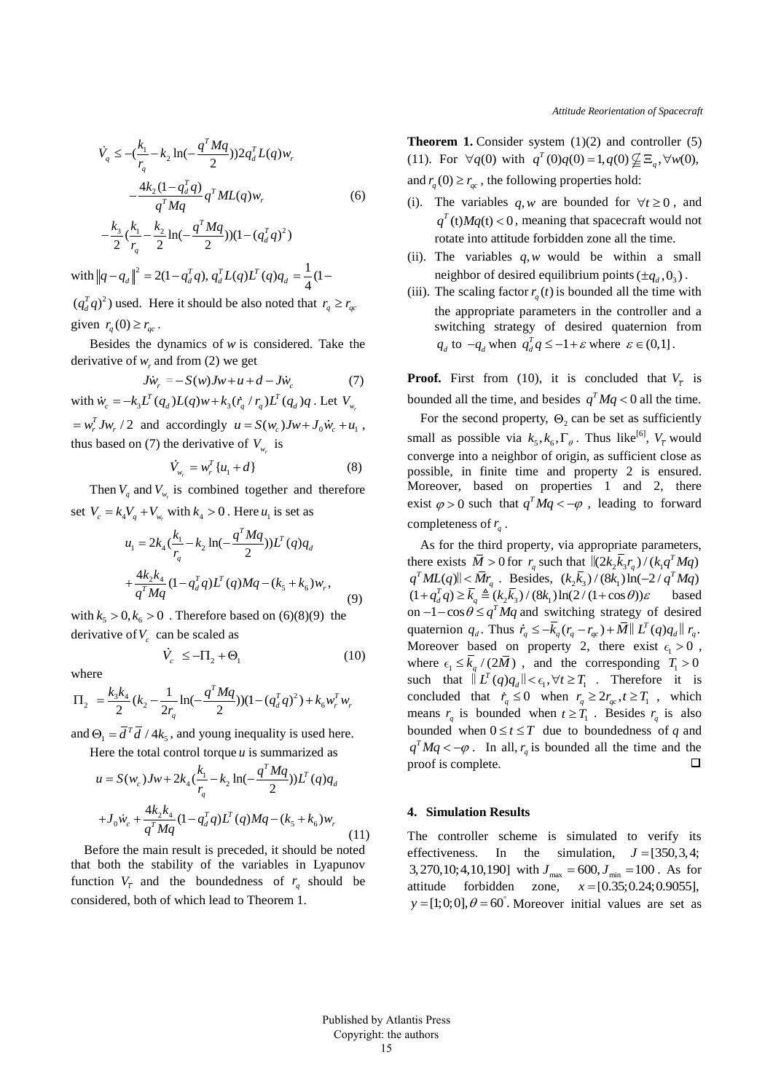$$
\dot{V}_q \le -(\frac{k_1}{r_q} - k_2 \ln(-\frac{q^T M q}{2})) 2q_d^T L(q) w_r
$$
  

$$
-\frac{4k_2(1 - q_d^T q)}{q^T M q} q^T M L(q) w_r
$$
  

$$
-\frac{k_3}{2} (\frac{k_1}{r_q} - \frac{k_2}{2} \ln(-\frac{q^T M q}{2})) (1 - (q_d^T q)^2)
$$

with  $||q - q_d||^2 = 2(1 - q_d^T q)$ ,  $q_d^T L(q) L^T(q) q_d = \frac{1}{4}(1$  $q - q_d \Big\|^2 = 2(1 - q_d^T q), q_d^T L(q) L^T(q) q_d = \frac{1}{4}(1 (q_d^T q)^2$ ) used. Here it should be also noted that  $r_q \ge r_{qc}$ given  $r_q(0) \ge r_{qc}$ .

Besides the dynamics of *w* is considered. Take the derivative of  $w_r$  and from (2) we get

$$
J\dot{w}_r = -S(w)Jw + u + d - J\dot{w}_c
$$
 (7)  
with  $\dot{w}_c = -k_3 L^T(q_d)L(q)w + k_3(\dot{r}_q/r_q)L^T(q_d)q$ . Let  $V_{w_r}$ 

 $= w_r^T J w_r / 2$  and accordingly  $u = S(w_c) J w + J_0 \dot{w}_c + u_1$ , thus based on (7) the derivative of  $V_{w_r}$  is

$$
\dot{V}_{w_r} = w_r^T \{u_1 + d\} \tag{8}
$$

Then  $V_q$  and  $V_{w_r}$  is combined together and therefore

set 
$$
V_c = k_4 V_q + V_{w_r}
$$
 with  $k_4 > 0$ . Here  $u_1$  is set as  
\n
$$
u_1 = 2k_4 \left(\frac{k_1}{r_q} - k_2 \ln(-\frac{q^T M q}{2})\right) L^T (q) q_d
$$
\n
$$
+ \frac{4k_2 k_4}{q^T M q} (1 - q_d^T q) L^T (q) M q - (k_5 + k_6) w_r,
$$
\n(9)

with  $k_5 > 0, k_6 > 0$ . Therefore based on (6)(8)(9) the derivative of  $V_c$  can be scaled as

 $\dot{V}_c \leq -\Pi_2 + \Theta_1$ 

where

where  
\n
$$
\Pi_2 = \frac{k_3 k_4}{2} (k_2 - \frac{1}{2r_q} \ln(-\frac{q^T M q}{2})) (1 - (q_d^T q)^2) + k_6 w_r^T w_r
$$

and  $\Theta_1 = \overline{d}^T \overline{d} / 4k_5$ , and young inequality is used here.

Here the total control torque *u* is summarized as  
\n
$$
u = S(w_c)Jw + 2k_4\left(\frac{k_1}{r_q} - k_2 \ln(-\frac{q^T M q}{2})\right)L^T(q)q_d
$$
\n
$$
+J_0 \dot{w}_c + \frac{4k_2 k_4}{q^T M q} (1 - q_d^T q)L^T(q)Mq - (k_5 + k_6)w_r
$$
\n(11)

Before the main result is preceded, it should be noted that both the stability of the variables in Lyapunov function  $V_{\bar{t}}$  and the boundedness of  $r_q$  should be considered, both of which lead to Theorem 1.

**Theorem 1.** Consider system (1)(2) and controller (5) (11). For  $\forall q(0)$  with  $q^T(0)q(0) = 1, q(0) \not\subseteq \Xi_q, \forall w(0)$ , and  $r_q(0) \ge r_{qc}$ , the following properties hold:

- (i). The variables  $q, w$  are bounded for  $\forall t \geq 0$ , and  $q<sup>T</sup>$  (t)  $Mq(t) < 0$ , meaning that spacecraft would not rotate into attitude forbidden zone all the time.
- (ii). The variables  $q, w$  would be within a small neighbor of desired equilibrium points  $(\pm q_a, 0)$ .
- (iii). The scaling factor  $r_q(t)$  is bounded all the time with the appropriate parameters in the controller and a switching strategy of desired quaternion from *q*<sub>d</sub> to  $-q_d$  when  $q_d^T q \leq -1 + \varepsilon$  where  $\varepsilon \in (0,1]$ .

**Proof.** First from (10), it is concluded that  $V_{\bar{t}}$  is bounded all the time, and besides  $q^T M q < 0$  all the time.

For the second property,  $\Theta_2$  can be set as sufficiently small as possible via  $k_5, k_6, \Gamma_\theta$ . Thus like<sup>[6]</sup>,  $V_{\overline{t}}$  would converge into a neighbor of origin, as sufficient close as possible, in finite time and property 2 is ensured. Moreover, based on properties 1 and 2, there exist  $\varphi > 0$  such that  $q^T M q < -\varphi$ , leading to forward completeness of  $r_q$ .

As for the third property, via appropriate parameters, there exists  $\overline{M} > 0$  for  $r_q$  such that  $\left| \frac{\partial k_2 \overline{k}_3 r_q}{\partial x_q} \right| / (k_q q^T M q)$  $q^T ML(q) || \leq \bar{M}r_q$ . Besides,  $(k_2 \bar{k}_3) / (8k_1) \ln(-2/q^T M q)$ <br>  $(1 + q_d^T q) \geq \bar{k}_q \triangleq (k_2 \bar{k}_3) / (8k_1) \ln(2/(1 + \cos \theta)) \varepsilon$  based based on  $-1 - \cos \theta \leq q^T M q$  and switching strategy of desired on  $-1$  -  $\cos \theta \le q$  *Mq* and switching strategy of desired quaternion  $q_d$ . Thus  $\dot{r}_q \leq -\overline{k}_q (r_q - r_{qc}) + \overline{M} || L^T(q) q_d || r_q$ . Moreover based on property 2, there exist  $\epsilon_1 > 0$ , where  $\epsilon_1 \leq \overline{k}_q / (2\overline{M})$ , and the corresponding  $T_1 > 0$ such that  $\|\overset{\circ}{L}T(q)q_d\| < \epsilon_1, \forall t \geq T_1$ . Therefore it is concluded that  $\dot{r}_q \leq 0$  when  $r_q \geq 2r_{qc}$ ,  $t \geq T_1$ , which means  $r_q$  is bounded when  $t \geq T_1$ . Besides  $r_q$  is also bounded when  $0 \le t \le T$  due to boundedness of q and  $q^T M q < -\varphi$ . In all,  $r_q$  is bounded all the time and the proof is complete.  $\Box$ 

## **4. Simulation Results**

The controller scheme is simulated to verify its effectiveness. In the simulation,  $J = [350, 3, 4;$  $3,270,10;4,10,190$  with  $J_{\text{max}} = 600, J_{\text{min}} = 100$ . As for attitude forbidden zone,  $x = [0.35; 0.24; 0.9055]$ ,  $y = [1;0;0], \theta = 60^{\degree}$ . Moreover initial values are set as

(10)